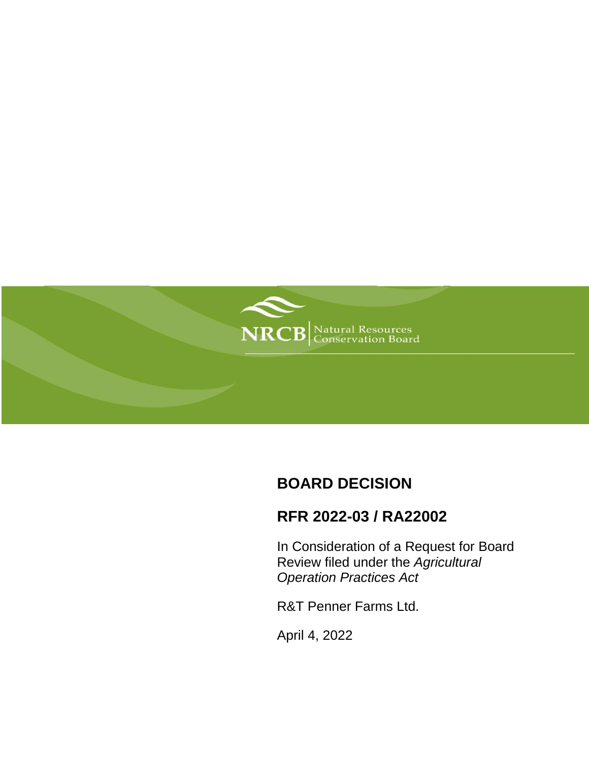

# **BOARD DECISION**

# **RFR 2022-03 / RA22002**

In Consideration of a Request for Board Review filed under the *Agricultural Operation Practices Act*

R&T Penner Farms Ltd.

April 4, 2022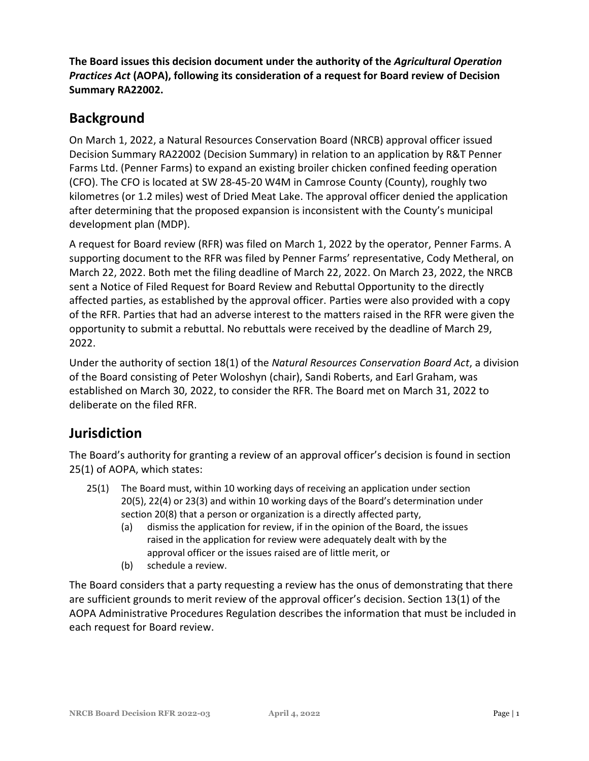**The Board issues this decision document under the authority of the** *Agricultural Operation Practices Act* **(AOPA), following its consideration of a request for Board review of Decision Summary RA22002.**

## **Background**

On March 1, 2022, a Natural Resources Conservation Board (NRCB) approval officer issued Decision Summary RA22002 (Decision Summary) in relation to an application by R&T Penner Farms Ltd. (Penner Farms) to expand an existing broiler chicken confined feeding operation (CFO). The CFO is located at SW 28-45-20 W4M in Camrose County (County), roughly two kilometres (or 1.2 miles) west of Dried Meat Lake. The approval officer denied the application after determining that the proposed expansion is inconsistent with the County's municipal development plan (MDP).

A request for Board review (RFR) was filed on March 1, 2022 by the operator, Penner Farms. A supporting document to the RFR was filed by Penner Farms' representative, Cody Metheral, on March 22, 2022. Both met the filing deadline of March 22, 2022. On March 23, 2022, the NRCB sent a Notice of Filed Request for Board Review and Rebuttal Opportunity to the directly affected parties, as established by the approval officer. Parties were also provided with a copy of the RFR. Parties that had an adverse interest to the matters raised in the RFR were given the opportunity to submit a rebuttal. No rebuttals were received by the deadline of March 29, 2022.

Under the authority of section 18(1) of the *Natural Resources Conservation Board Act*, a division of the Board consisting of Peter Woloshyn (chair), Sandi Roberts, and Earl Graham, was established on March 30, 2022, to consider the RFR. The Board met on March 31, 2022 to deliberate on the filed RFR.

#### **Jurisdiction**

The Board's authority for granting a review of an approval officer's decision is found in section 25(1) of AOPA, which states:

- 25(1) The Board must, within 10 working days of receiving an application under section 20(5), 22(4) or 23(3) and within 10 working days of the Board's determination under section 20(8) that a person or organization is a directly affected party,
	- (a) dismiss the application for review, if in the opinion of the Board, the issues raised in the application for review were adequately dealt with by the approval officer or the issues raised are of little merit, or
	- (b) schedule a review.

The Board considers that a party requesting a review has the onus of demonstrating that there are sufficient grounds to merit review of the approval officer's decision. Section 13(1) of the AOPA Administrative Procedures Regulation describes the information that must be included in each request for Board review.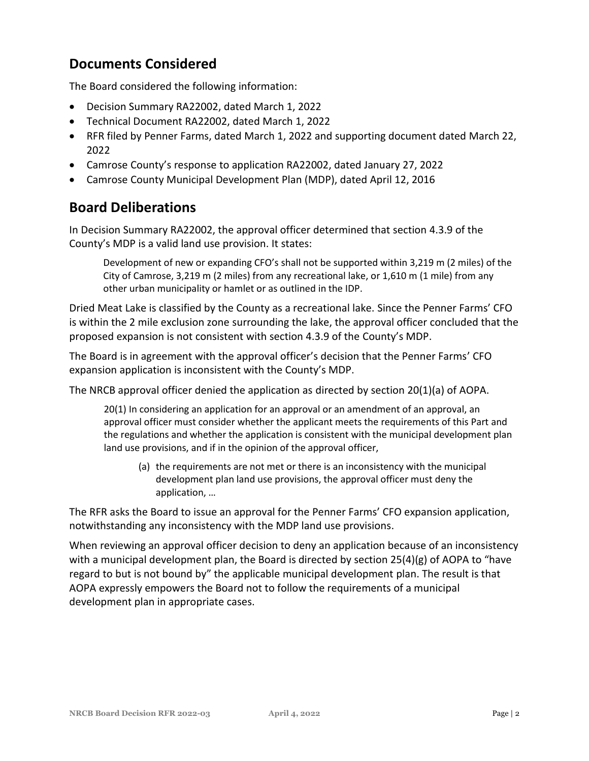## **Documents Considered**

The Board considered the following information:

- Decision Summary RA22002, dated March 1, 2022
- Technical Document RA22002, dated March 1, 2022
- RFR filed by Penner Farms, dated March 1, 2022 and supporting document dated March 22, 2022
- Camrose County's response to application RA22002, dated January 27, 2022
- Camrose County Municipal Development Plan (MDP), dated April 12, 2016

#### **Board Deliberations**

In Decision Summary RA22002, the approval officer determined that section 4.3.9 of the County's MDP is a valid land use provision. It states:

Development of new or expanding CFO's shall not be supported within 3,219 m (2 miles) of the City of Camrose, 3,219 m (2 miles) from any recreational lake, or 1,610 m (1 mile) from any other urban municipality or hamlet or as outlined in the IDP.

Dried Meat Lake is classified by the County as a recreational lake. Since the Penner Farms' CFO is within the 2 mile exclusion zone surrounding the lake, the approval officer concluded that the proposed expansion is not consistent with section 4.3.9 of the County's MDP.

The Board is in agreement with the approval officer's decision that the Penner Farms' CFO expansion application is inconsistent with the County's MDP.

The NRCB approval officer denied the application as directed by section 20(1)(a) of AOPA.

20(1) In considering an application for an approval or an amendment of an approval, an approval officer must consider whether the applicant meets the requirements of this Part and the regulations and whether the application is consistent with the municipal development plan land use provisions, and if in the opinion of the approval officer,

(a) the requirements are not met or there is an inconsistency with the municipal development plan land use provisions, the approval officer must deny the application, …

The RFR asks the Board to issue an approval for the Penner Farms' CFO expansion application, notwithstanding any inconsistency with the MDP land use provisions.

When reviewing an approval officer decision to deny an application because of an inconsistency with a municipal development plan, the Board is directed by section  $25(4)(g)$  of AOPA to "have regard to but is not bound by" the applicable municipal development plan. The result is that AOPA expressly empowers the Board not to follow the requirements of a municipal development plan in appropriate cases.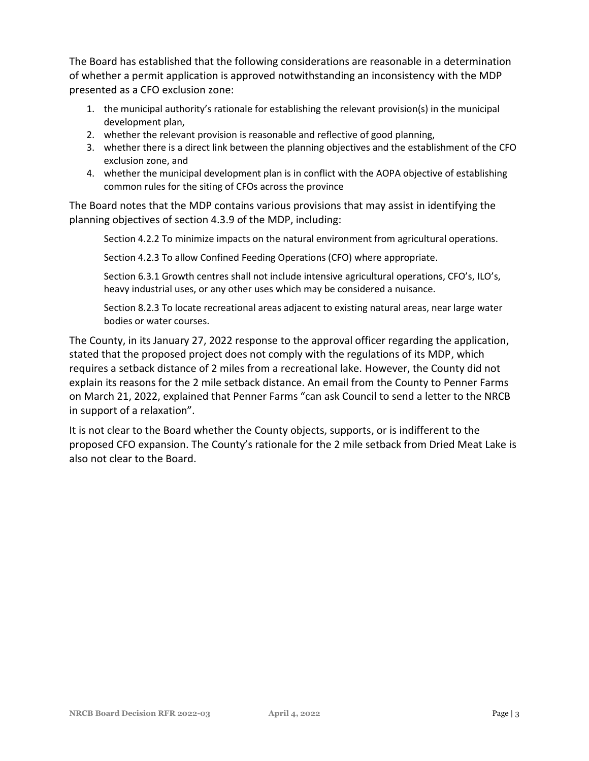The Board has established that the following considerations are reasonable in a determination of whether a permit application is approved notwithstanding an inconsistency with the MDP presented as a CFO exclusion zone:

- 1. the municipal authority's rationale for establishing the relevant provision(s) in the municipal development plan,
- 2. whether the relevant provision is reasonable and reflective of good planning,
- 3. whether there is a direct link between the planning objectives and the establishment of the CFO exclusion zone, and
- 4. whether the municipal development plan is in conflict with the AOPA objective of establishing common rules for the siting of CFOs across the province

The Board notes that the MDP contains various provisions that may assist in identifying the planning objectives of section 4.3.9 of the MDP, including:

Section 4.2.2 To minimize impacts on the natural environment from agricultural operations.

Section 4.2.3 To allow Confined Feeding Operations (CFO) where appropriate.

Section 6.3.1 Growth centres shall not include intensive agricultural operations, CFO's, ILO's, heavy industrial uses, or any other uses which may be considered a nuisance.

Section 8.2.3 To locate recreational areas adjacent to existing natural areas, near large water bodies or water courses.

The County, in its January 27, 2022 response to the approval officer regarding the application, stated that the proposed project does not comply with the regulations of its MDP, which requires a setback distance of 2 miles from a recreational lake. However, the County did not explain its reasons for the 2 mile setback distance. An email from the County to Penner Farms on March 21, 2022, explained that Penner Farms "can ask Council to send a letter to the NRCB in support of a relaxation".

It is not clear to the Board whether the County objects, supports, or is indifferent to the proposed CFO expansion. The County's rationale for the 2 mile setback from Dried Meat Lake is also not clear to the Board.